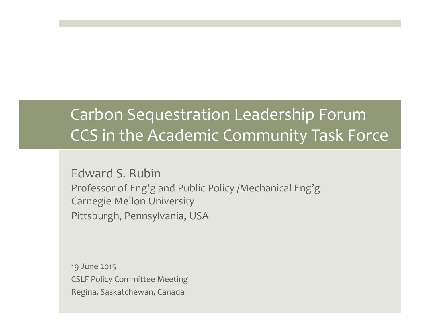#### Carbon Sequestration Leadership Forum CCS in the Academic Community Task Force

Edward S. Rubin Professor of Eng'g and Public Policy /Mechanical Eng'g Carnegie Mellon University Pittsburgh, Pennsylvania, USA

19 June 2015 CSLF Policy Committee Meeting Regina, Saskatchewan, Canada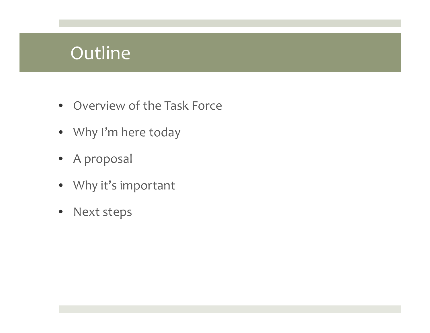#### **Outline**

- Overview of the Task Force
- Why <sup>I</sup>'m here today
- A proposal
- Why it's important
- $\bullet$ Next steps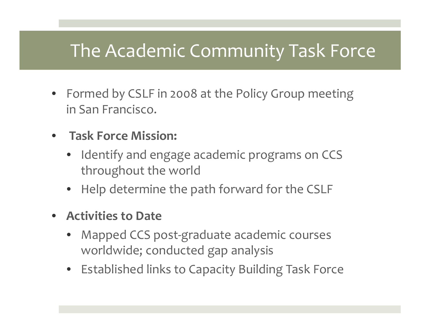## The Academic Community Task Force

- Formed by CSLF in 2008 at the Policy Group meeting in San Francisco.
- • **Task Force Mission:**
	- $\bullet$  Identify and engage academic programs on CCS throughout the world
	- •Help determine the path forward for the CSLF
- **Activities to Date**
	- • Mapped CCS post‐graduate academic courses worldwide; conducted gap analysis
	- Established links to Capacity Building Task Force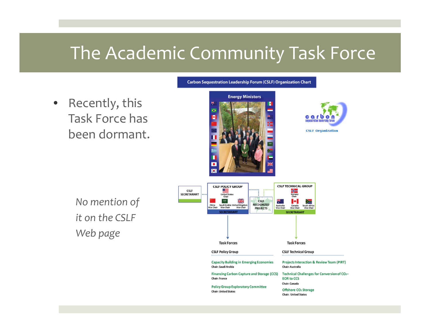#### The Academic Community Task Force

 $\bullet$  Recently, this Task Force has been dormant.



**Carbon Sequestration Leadership Forum (CSLF) Organization Chart** 



*No mention of it on the CSLF Web page*

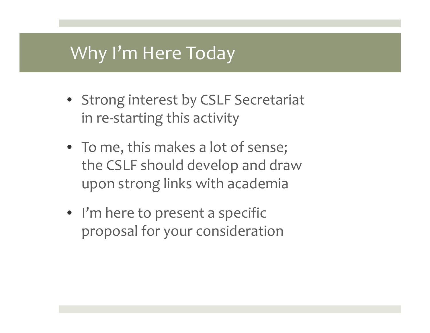#### Why <sup>I</sup>'m Here Today

- Strong interest by CSLF Secretariat in re‐starting this activity
- To me, this makes <sup>a</sup> lot of sense; the CSLF should develop and draw upon strong links with academia
- I'm here to present a specific proposal for your consideration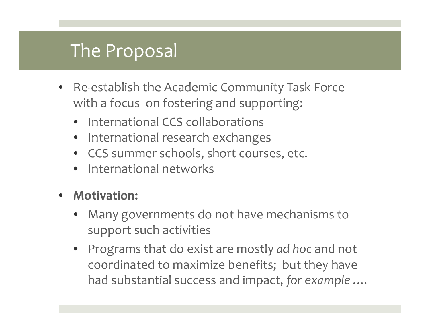#### The Proposal

- •● Re-establish the Academic Community Task Force with <sup>a</sup> focus on fostering and supporting:
	- International CCS collaborations
	- • $\bullet$  International research exchanges
	- CCS summer schools, short courses, etc.
	- •International networks
- • **Motivation:**
	- • Many governments do not have mechanisms to suppor<sup>t</sup> such activities
	- Programs that do exist are mostly *ad hoc* and not coordinated to maximize benefits; but they have had substantial success and impact, *for example .…*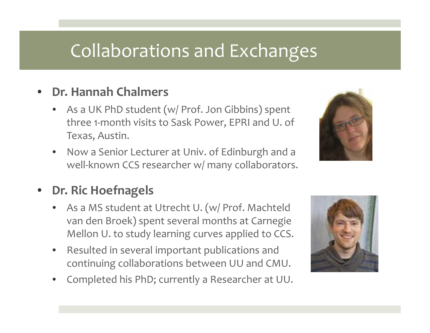### Collaborations and Exchanges

#### •**Dr. Hannah Chalmers**

- As a UK PhD student (w/ Prof. Jon Gibbins) spen<sup>t</sup> three 1‐month visits to Sask Power, EPRI and U. of Texas, Austin.
- • Now <sup>a</sup> Senior Lecturer at Univ. of Edinburgh and <sup>a</sup> well‐known CCS researcher w/ many collaborators.



- As a MS student at Utrecht U. (w/ Prof. Machteld van den Broek) spen<sup>t</sup> several months at Carnegie Mellon U. to study learning curves applied to CCS.
- • Resulted in several important publications and continuing collaborations between UU and CMU.
- •Completed his PhD; currently <sup>a</sup> Researcher at UU.



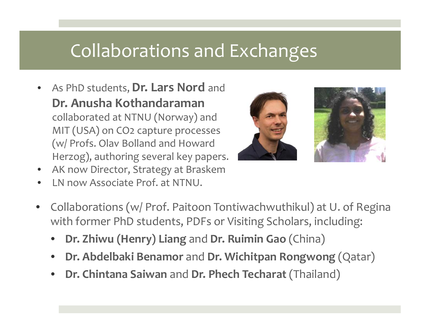### Collaborations and Exchanges

 $\bullet$  As PhD students, **Dr. Lars Nord** and **Dr. Anusha Kothandaraman**collaborated at NTNU (Norway) and MIT (USA) on CO2 capture processes (w/ Profs. Olav Bolland and Howard Herzog), authoring several key papers.



•LN now Associate Prof. at NTNU.



- $\bullet$  Collaborations (w/ Prof. Paitoon Tontiwachwuthikul) at U. of Regina with former PhD students, PDFs or Visiting Scholars, including:
	- •**Dr. Zhiwu (Henry) Liang** and **Dr. Ruimin Gao** (China)
	- •**Dr. Abdelbaki Benamor** and **Dr. Wichitpan Rongwong** (Qatar)
	- •**Dr. Chintana Saiwan** and **Dr. Phech Techarat** (Thailand)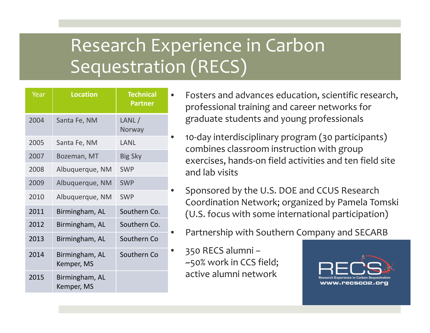# Research Experience in Carbon Sequestration (RECS)

| Year | <b>Location</b>              | <b>Technical</b><br><b>Partner</b> |
|------|------------------------------|------------------------------------|
| 2004 | Santa Fe, NM                 | LANL/<br>Norway                    |
| 2005 | Santa Fe, NM                 | LANL                               |
| 2007 | Bozeman, MT                  | <b>Big Sky</b>                     |
| 2008 | Albuquerque, NM              | <b>SWP</b>                         |
| 2009 | Albuquerque, NM              | <b>SWP</b>                         |
| 2010 | Albuquerque, NM              | <b>SWP</b>                         |
| 2011 | Birmingham, AL               | Southern Co.                       |
| 2012 | Birmingham, AL               | Southern Co.                       |
| 2013 | Birmingham, AL               | Southern Co                        |
| 2014 | Birmingham, AL<br>Kemper, MS | Southern Co                        |
| 2015 | Birmingham, AL<br>Kemper, MS |                                    |

- Fosters and advances education, scientific research, professional training and career networks for graduate students and young professionals
	- <sup>10</sup>‐day interdisciplinary program (30 participants) combines classroom instruction with group exercises, hands‐on field activities and ten field site and lab visits
	- Sponsored by the U.S. DOE and CCUS Research Coordination Network; organized by Pamela Tomski (U.S. focus with some international participation)
	- Partnership with Southern Company and SECARB
- 350 RECS alumni ~50% work in CCS field; active alumni network

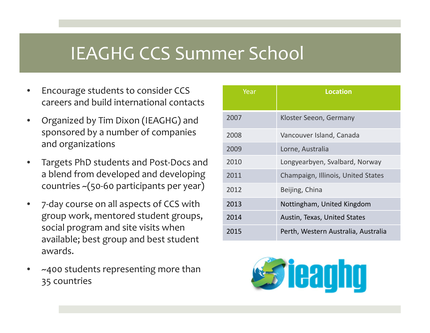#### IEAGHG CCS Summer School

- • Encourage students to consider CCS careers and build international contacts
- • Organized by Tim Dixon (IEAGHG) and sponsored by <sup>a</sup> number of companies and organizations
- • Targets PhD students and Post‐Docs and a blend from developed and developing countries ~(50‐<sup>60</sup> participants per year)
- • 7‐day course on all aspects of CCS with group work, mentored student groups, social program and site visits when available; best group and best student awards.
- • ~400 students representing more than 35 countries

| Year | <b>Location</b>                     |
|------|-------------------------------------|
| 2007 | Kloster Seeon, Germany              |
| 2008 | Vancouver Island, Canada            |
| 2009 | Lorne, Australia                    |
| 2010 | Longyearbyen, Svalbard, Norway      |
| 2011 | Champaign, Illinois, United States  |
| 2012 | Beijing, China                      |
| 2013 | Nottingham, United Kingdom          |
| 2014 | Austin, Texas, United States        |
| 2015 | Perth, Western Australia, Australia |

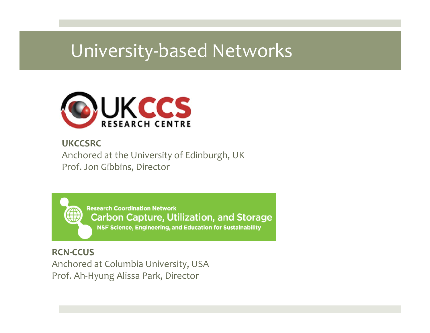### University‐based Networks



#### **UKCCSRC**

Anchored at the University of Edinburgh, UK Prof. Jon Gibbins, Director

> **Research Coordination Network Carbon Capture, Utilization, and Storage** NSF Science, Engineering, and Education for Sustainability

**RCN‐CCUS**Anchored at Columbia University, USA Prof. Ah‐Hyung Alissa Park, Director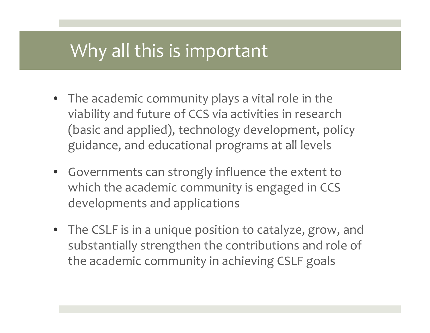#### Why all this is important

- The academic community plays <sup>a</sup> vital role in the viability and future of CCS via activities in research (basic and applied), technology development, policy guidance, and educational programs at all levels
- Governments can strongly influence the extent to which the academic community is engaged in CCS developments and applications
- The CSLF is in <sup>a</sup> unique position to catalyze, grow, and substantially strengthen the contributions and role of the academic community in achieving CSLF goals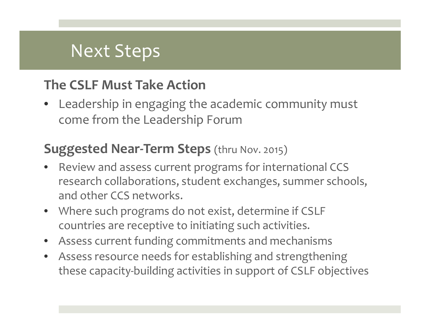#### Next Steps

#### **The CSLF Must Take Action**

• Leadership in engaging the academic community must come from the Leadership Forum

#### **Suggested Near‐Term Steps** (thru Nov. 2015)

- • Review and assess current programs for international CCS research collaborations, student exchanges, summer schools, and other CCS networks.
- Where such programs do not exist, determine if CSLF countries are receptive to initiating such activities.
- •Assess current funding commitments and mechanisms
- $\bullet$  Assess resource needs for establishing and strengthening these capacity‐building activities in suppor<sup>t</sup> of CSLF objectives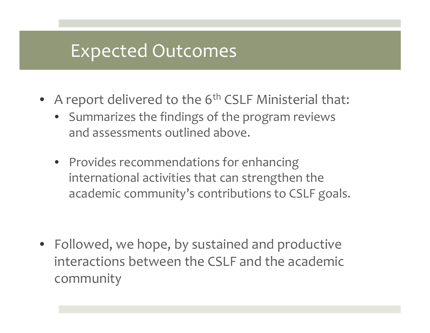### Expected Outcomes

- A report delivered to the  $6^{\text{th}}$  CSLF Ministerial that:
	- Summarizes the findings of the program reviews and assessments outlined above.
	- Provides recommendations for enhancing international activities that can strengthen the academic community's contributions to CSLF goals.

• Followed, we hope, by sustained and productive interactions between the CSLF and the academic community